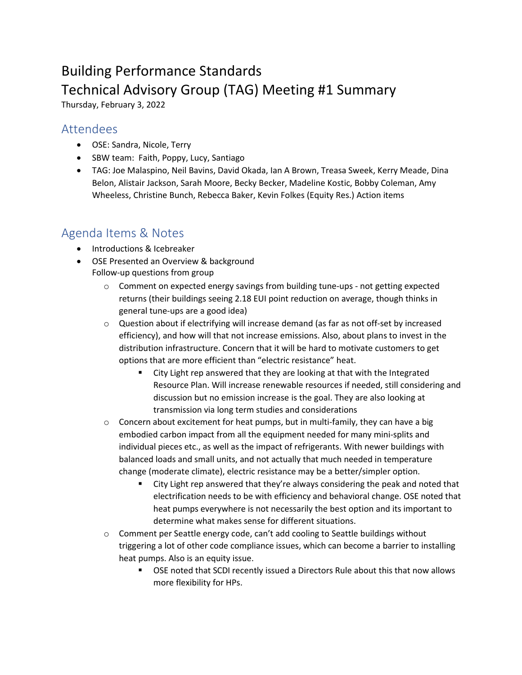## Building Performance Standards Technical Advisory Group (TAG) Meeting #1 Summary

Thursday, February 3, 2022

## Attendees

- OSE: Sandra, Nicole, Terry
- SBW team: Faith, Poppy, Lucy, Santiago
- TAG: Joe Malaspino, Neil Bavins, David Okada, Ian A Brown, Treasa Sweek, Kerry Meade, Dina Belon, Alistair Jackson, Sarah Moore, Becky Becker, Madeline Kostic, Bobby Coleman, Amy Wheeless, Christine Bunch, Rebecca Baker, Kevin Folkes (Equity Res.) Action items

## Agenda Items & Notes

- Introductions & Icebreaker
- OSE Presented an Overview & background Follow-up questions from group
	- $\circ$  Comment on expected energy savings from building tune-ups not getting expected returns (their buildings seeing 2.18 EUI point reduction on average, though thinks in general tune-ups are a good idea)
	- o Question about if electrifying will increase demand (as far as not off-set by increased efficiency), and how will that not increase emissions. Also, about plans to invest in the distribution infrastructure. Concern that it will be hard to motivate customers to get options that are more efficient than "electric resistance" heat.
		- City Light rep answered that they are looking at that with the Integrated Resource Plan. Will increase renewable resources if needed, still considering and discussion but no emission increase is the goal. They are also looking at transmission via long term studies and considerations
	- $\circ$  Concern about excitement for heat pumps, but in multi-family, they can have a big embodied carbon impact from all the equipment needed for many mini-splits and individual pieces etc., as well as the impact of refrigerants. With newer buildings with balanced loads and small units, and not actually that much needed in temperature change (moderate climate), electric resistance may be a better/simpler option.
		- City Light rep answered that they're always considering the peak and noted that electrification needs to be with efficiency and behavioral change. OSE noted that heat pumps everywhere is not necessarily the best option and its important to determine what makes sense for different situations.
	- $\circ$  Comment per Seattle energy code, can't add cooling to Seattle buildings without triggering a lot of other code compliance issues, which can become a barrier to installing heat pumps. Also is an equity issue.
		- OSE noted that SCDI recently issued a Directors Rule about this that now allows more flexibility for HPs.